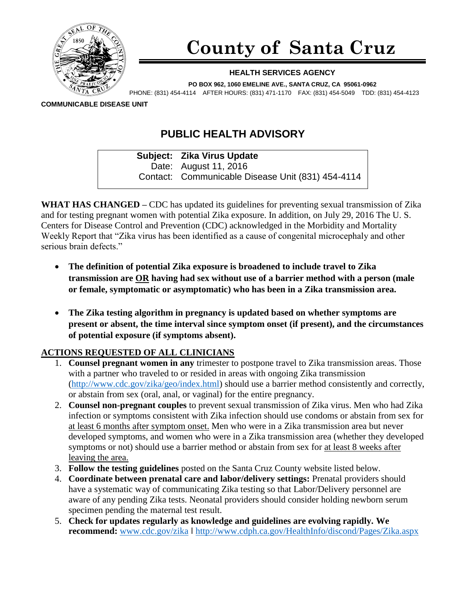

## **County of Santa Cruz**

## **HEALTH SERVICES AGENCY**

**PO BOX 962, 1060 EMELINE AVE., SANTA CRUZ, CA 95061-0962**

PHONE: (831) 454-4114 AFTER HOURS: (831) 471-1170 FAX: (831) 454-5049 TDD: (831) 454-4123

**COMMUNICABLE DISEASE UNIT**

## **PUBLIC HEALTH ADVISORY**

**Subject: Zika Virus Update** Date: August 11, 2016 Contact: Communicable Disease Unit (831) 454-4114

**WHAT HAS CHANGED –** CDC has updated its guidelines for preventing sexual transmission of Zika and for testing pregnant women with potential Zika exposure. In addition, on July 29, 2016 The U. S. Centers for Disease Control and Prevention (CDC) acknowledged in the Morbidity and Mortality Weekly Report that "Zika virus has been identified as a cause of congenital microcephaly and other serious brain defects."

- **The definition of potential Zika exposure is broadened to include travel to Zika transmission are OR having had sex without use of a barrier method with a person (male or female, symptomatic or asymptomatic) who has been in a Zika transmission area.**
- **The Zika testing algorithm in pregnancy is updated based on whether symptoms are present or absent, the time interval since symptom onset (if present), and the circumstances of potential exposure (if symptoms absent).**

## **ACTIONS REQUESTED OF ALL CLINICIANS**

- 1. **Counsel pregnant women in any** trimester to postpone travel to Zika transmission areas. Those with a partner who traveled to or resided in areas with ongoing Zika transmission [\(http://www.cdc.gov/zika/geo/index.html\)](http://www.cdc.gov/zika/geo/index.html) should use a barrier method consistently and correctly, or abstain from sex (oral, anal, or vaginal) for the entire pregnancy.
- 2. **Counsel non-pregnant couples** to prevent sexual transmission of Zika virus. Men who had Zika infection or symptoms consistent with Zika infection should use condoms or abstain from sex for at least 6 months after symptom onset. Men who were in a Zika transmission area but never developed symptoms, and women who were in a Zika transmission area (whether they developed symptoms or not) should use a barrier method or abstain from sex for at least 8 weeks after leaving the area.
- 3. **Follow the testing guidelines** posted on the Santa Cruz County website listed below.
- 4. **Coordinate between prenatal care and labor/delivery settings:** Prenatal providers should have a systematic way of communicating Zika testing so that Labor/Delivery personnel are aware of any pending Zika tests. Neonatal providers should consider holding newborn serum specimen pending the maternal test result.
- 5. **Check for updates regularly as knowledge and guidelines are evolving rapidly. We recommend:** [www.cdc.gov/zika](http://www.cdc.gov/zika) |<http://www.cdph.ca.gov/HealthInfo/discond/Pages/Zika.aspx>